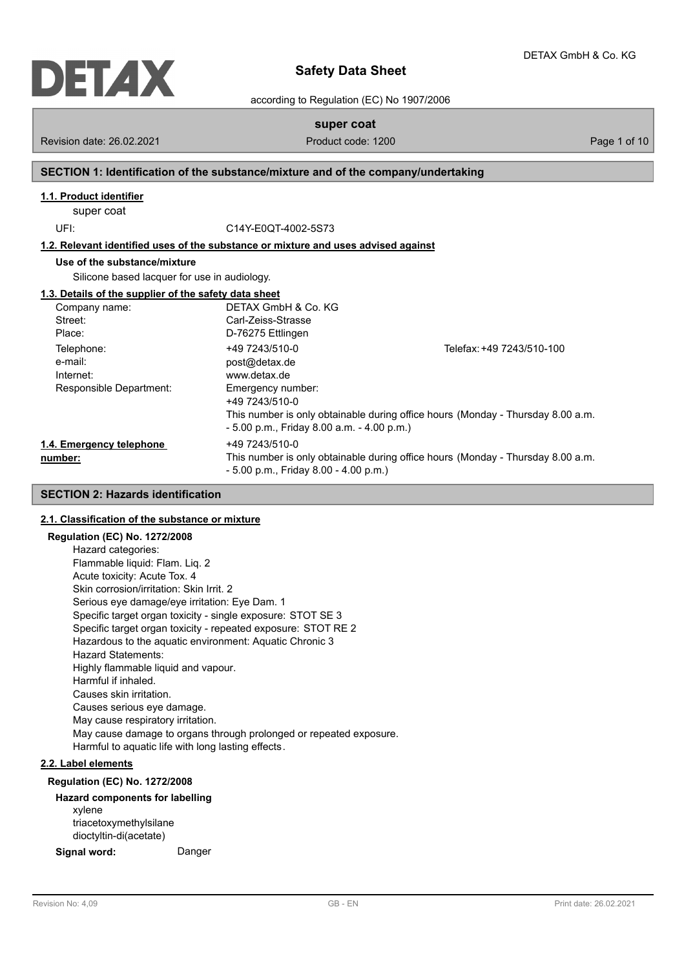

according to Regulation (EC) No 1907/2006

**super coat**

Revision date: 26.02.2021 **Product code: 1200** Page 1 of 10

# **SECTION 1: Identification of the substance/mixture and of the company/undertaking**

# **1.1. Product identifier**

super coat

UFI: C14Y-E0QT-4002-5S73

**1.2. Relevant identified uses of the substance or mixture and uses advised against**

# **Use of the substance/mixture**

Silicone based lacquer for use in audiology.

## **1.3. Details of the supplier of the safety data sheet**

| Company name:            | DETAX GmbH & Co. KG                          |                                                                                 |
|--------------------------|----------------------------------------------|---------------------------------------------------------------------------------|
| Street:                  | Carl-Zeiss-Strasse                           |                                                                                 |
| Place:                   | D-76275 Ettlingen                            |                                                                                 |
| Telephone:<br>e-mail:    | +49 7243/510-0<br>post@detax.de              | Telefax: +49 7243/510-100                                                       |
| Internet:                | www.detax.de                                 |                                                                                 |
| Responsible Department:  | Emergency number:<br>+49 7243/510-0          |                                                                                 |
|                          | $-5.00$ p.m., Friday 8.00 a.m. $-4.00$ p.m.) | This number is only obtainable during office hours (Monday - Thursday 8.00 a.m. |
| 1.4. Emergency telephone | +49 7243/510-0                               |                                                                                 |
| number:                  | $-5.00$ p.m., Friday 8.00 $-4.00$ p.m.)      | This number is only obtainable during office hours (Monday - Thursday 8.00 a.m. |

# **SECTION 2: Hazards identification**

## **2.1. Classification of the substance or mixture**

## **Regulation (EC) No. 1272/2008**

Hazard categories: Flammable liquid: Flam. Liq. 2 Acute toxicity: Acute Tox. 4 Skin corrosion/irritation: Skin Irrit. 2 Serious eye damage/eye irritation: Eye Dam. 1 Specific target organ toxicity - single exposure: STOT SE 3 Specific target organ toxicity - repeated exposure: STOT RE 2 Hazardous to the aquatic environment: Aquatic Chronic 3 Hazard Statements: Highly flammable liquid and vapour. Harmful if inhaled. Causes skin irritation. Causes serious eye damage. May cause respiratory irritation. May cause damage to organs through prolonged or repeated exposure. Harmful to aquatic life with long lasting effects.

# **2.2. Label elements**

## **Regulation (EC) No. 1272/2008**

## **Hazard components for labelling** xylene triacetoxymethylsilane dioctyltin-di(acetate)

**Signal word:** Danger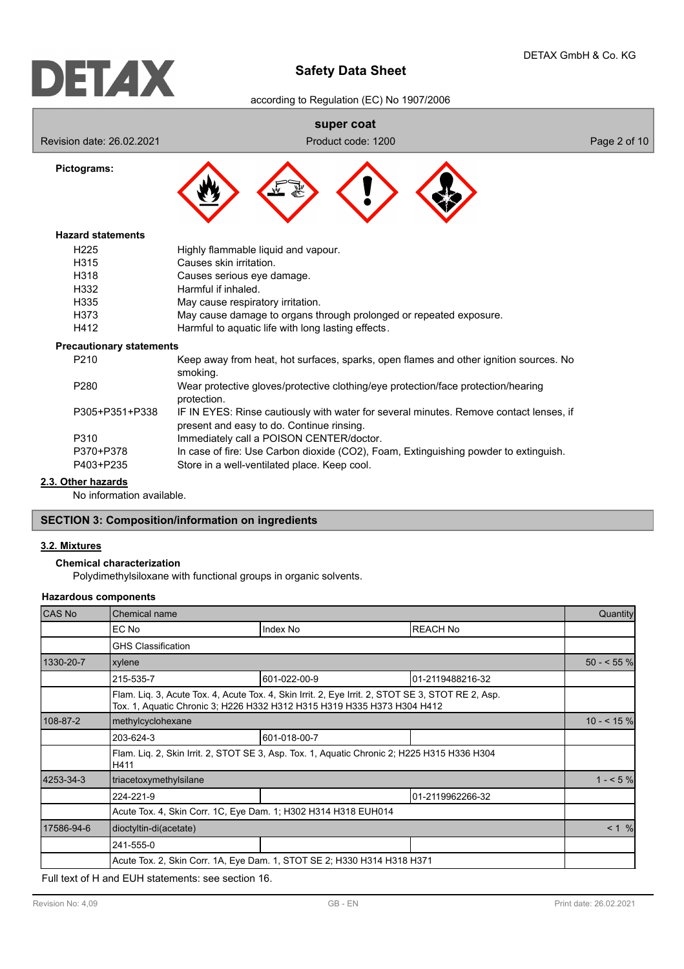according to Regulation (EC) No 1907/2006

# **super coat**

Revision date: 26.02.2021 **Product code: 1200** Page 2 of 10

**Pictograms:**



# **Hazard statements**

| H <sub>225</sub> | Highly flammable liquid and vapour.                                |
|------------------|--------------------------------------------------------------------|
| H315             | Causes skin irritation.                                            |
| H318             | Causes serious eye damage.                                         |
| H332             | Harmful if inhaled.                                                |
| H335             | May cause respiratory irritation.                                  |
| H373             | May cause damage to organs through prolonged or repeated exposure. |
| H412             | Harmful to aquatic life with long lasting effects.                 |

## **Precautionary statements**

| P <sub>210</sub> | Keep away from heat, hot surfaces, sparks, open flames and other ignition sources. No<br>smoking.                                   |
|------------------|-------------------------------------------------------------------------------------------------------------------------------------|
| P <sub>280</sub> | Wear protective gloves/protective clothing/eye protection/face protection/hearing<br>protection.                                    |
| P305+P351+P338   | IF IN EYES: Rinse cautiously with water for several minutes. Remove contact lenses, if<br>present and easy to do. Continue rinsing. |
| P310             | Immediately call a POISON CENTER/doctor.                                                                                            |
| P370+P378        | In case of fire: Use Carbon dioxide (CO2), Foam, Extinguishing powder to extinguish.                                                |
| P403+P235        | Store in a well-ventilated place. Keep cool.                                                                                        |

## **2.3. Other hazards**

No information available.

# **SECTION 3: Composition/information on ingredients**

## **3.2. Mixtures**

**Chemical characterization**

Polydimethylsiloxane with functional groups in organic solvents.

# **Hazardous components**

| CAS No     | Chemical name                                                                                                                                                                |              |                  |             |  |
|------------|------------------------------------------------------------------------------------------------------------------------------------------------------------------------------|--------------|------------------|-------------|--|
|            | EC No                                                                                                                                                                        | Index No     | <b>REACH No</b>  |             |  |
|            | <b>GHS Classification</b>                                                                                                                                                    |              |                  |             |  |
| 1330-20-7  | xylene                                                                                                                                                                       |              |                  | $50 - 55\%$ |  |
|            | 215-535-7                                                                                                                                                                    | 601-022-00-9 | 01-2119488216-32 |             |  |
|            | Flam. Lig. 3, Acute Tox. 4, Acute Tox. 4, Skin Irrit. 2, Eye Irrit. 2, STOT SE 3, STOT RE 2, Asp.<br>Tox. 1, Aquatic Chronic 3; H226 H332 H312 H315 H319 H335 H373 H304 H412 |              |                  |             |  |
| 108-87-2   | methylcyclohexane                                                                                                                                                            |              | $10 - 5\%$       |             |  |
|            | 203-624-3                                                                                                                                                                    | 601-018-00-7 |                  |             |  |
|            | Flam. Liq. 2, Skin Irrit. 2, STOT SE 3, Asp. Tox. 1, Aquatic Chronic 2; H225 H315 H336 H304<br>H411                                                                          |              |                  |             |  |
| 4253-34-3  | triacetoxymethylsilane                                                                                                                                                       |              |                  | $1 - 5\%$   |  |
|            | 224-221-9                                                                                                                                                                    |              | 01-2119962266-32 |             |  |
|            | Acute Tox. 4, Skin Corr. 1C, Eye Dam. 1; H302 H314 H318 EUH014                                                                                                               |              |                  |             |  |
| 17586-94-6 | dioctyltin-di(acetate)                                                                                                                                                       |              |                  | < 1 %       |  |
|            | 241-555-0                                                                                                                                                                    |              |                  |             |  |
|            | Acute Tox. 2, Skin Corr. 1A, Eye Dam. 1, STOT SE 2; H330 H314 H318 H371                                                                                                      |              |                  |             |  |

Full text of H and EUH statements: see section 16.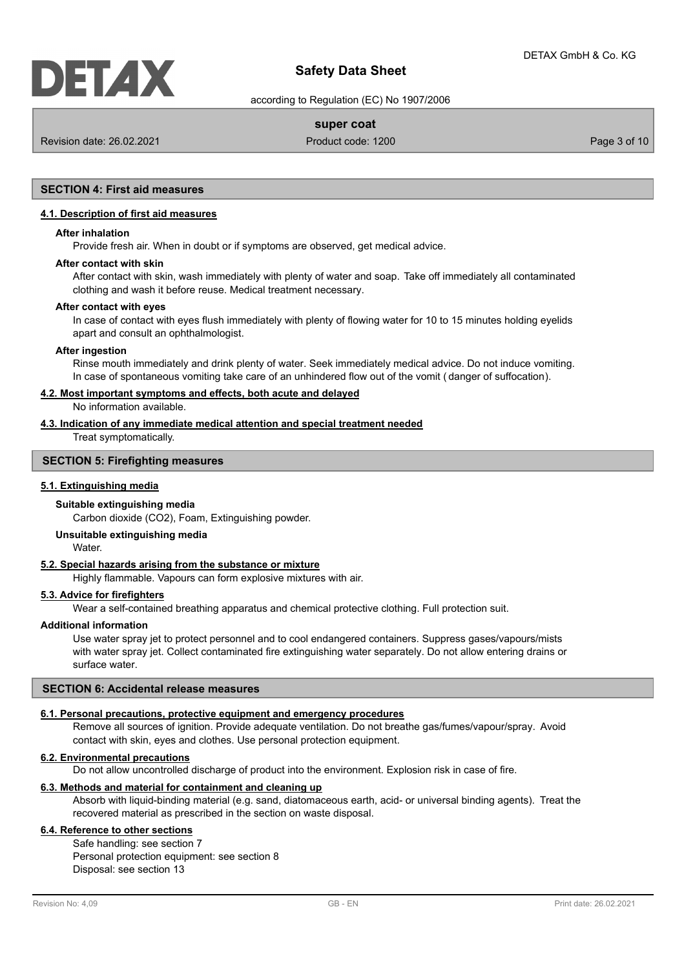according to Regulation (EC) No 1907/2006

# **super coat**

Revision date: 26.02.2021 **Product code: 1200** Product code: 1200 **Page 3 of 10** 

# **SECTION 4: First aid measures**

## **4.1. Description of first aid measures**

## **After inhalation**

Provide fresh air. When in doubt or if symptoms are observed, get medical advice.

#### **After contact with skin**

After contact with skin, wash immediately with plenty of water and soap. Take off immediately all contaminated clothing and wash it before reuse. Medical treatment necessary.

#### **After contact with eyes**

In case of contact with eyes flush immediately with plenty of flowing water for 10 to 15 minutes holding eyelids apart and consult an ophthalmologist.

#### **After ingestion**

Rinse mouth immediately and drink plenty of water. Seek immediately medical advice. Do not induce vomiting. In case of spontaneous vomiting take care of an unhindered flow out of the vomit ( danger of suffocation).

## **4.2. Most important symptoms and effects, both acute and delayed**

No information available.

# **4.3. Indication of any immediate medical attention and special treatment needed**

Treat symptomatically.

## **SECTION 5: Firefighting measures**

## **5.1. Extinguishing media**

# **Suitable extinguishing media**

Carbon dioxide (CO2), Foam, Extinguishing powder.

## **Unsuitable extinguishing media**

Water.

# **5.2. Special hazards arising from the substance or mixture**

Highly flammable. Vapours can form explosive mixtures with air.

## **5.3. Advice for firefighters**

Wear a self-contained breathing apparatus and chemical protective clothing. Full protection suit.

## **Additional information**

Use water spray jet to protect personnel and to cool endangered containers. Suppress gases/vapours/mists with water spray jet. Collect contaminated fire extinguishing water separately. Do not allow entering drains or surface water.

## **SECTION 6: Accidental release measures**

## **6.1. Personal precautions, protective equipment and emergency procedures**

Remove all sources of ignition. Provide adequate ventilation. Do not breathe gas/fumes/vapour/spray. Avoid contact with skin, eyes and clothes. Use personal protection equipment.

## **6.2. Environmental precautions**

Do not allow uncontrolled discharge of product into the environment. Explosion risk in case of fire.

# **6.3. Methods and material for containment and cleaning up**

Absorb with liquid-binding material (e.g. sand, diatomaceous earth, acid- or universal binding agents). Treat the recovered material as prescribed in the section on waste disposal.

# **6.4. Reference to other sections**

Safe handling: see section 7 Personal protection equipment: see section 8 Disposal: see section 13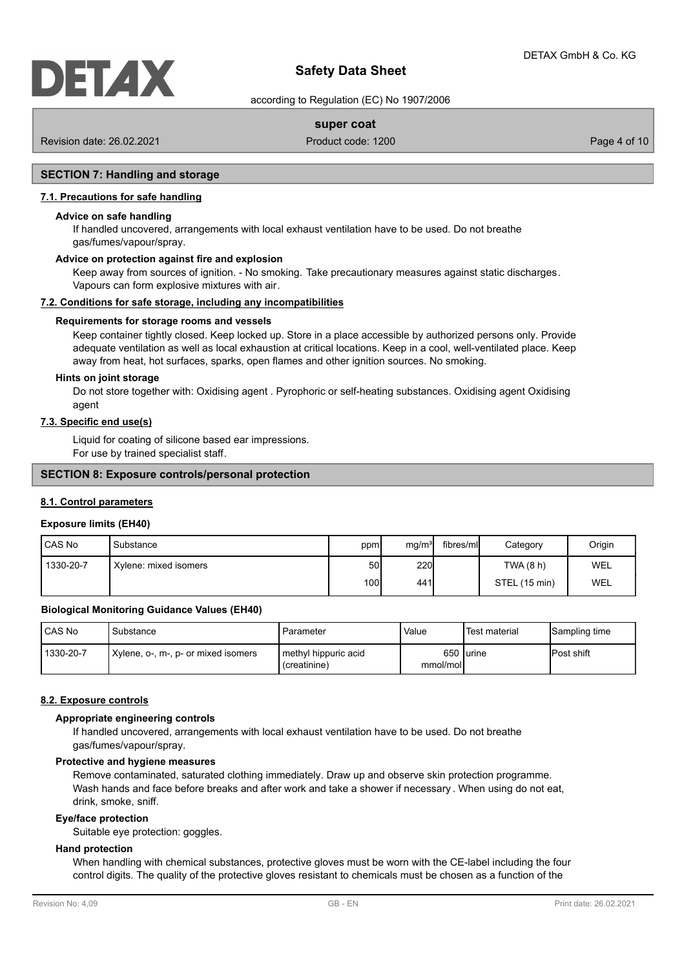according to Regulation (EC) No 1907/2006

# **super coat**

Revision date: 26.02.2021 **Product code: 1200** Product code: 1200 **Page 4 of 10** 

# **SECTION 7: Handling and storage**

# **7.1. Precautions for safe handling**

## **Advice on safe handling**

If handled uncovered, arrangements with local exhaust ventilation have to be used. Do not breathe gas/fumes/vapour/spray.

# **Advice on protection against fire and explosion**

Keep away from sources of ignition. - No smoking. Take precautionary measures against static discharges. Vapours can form explosive mixtures with air.

## **7.2. Conditions for safe storage, including any incompatibilities**

## **Requirements for storage rooms and vessels**

Keep container tightly closed. Keep locked up. Store in a place accessible by authorized persons only. Provide adequate ventilation as well as local exhaustion at critical locations. Keep in a cool, well-ventilated place. Keep away from heat, hot surfaces, sparks, open flames and other ignition sources. No smoking.

#### **Hints on joint storage**

Do not store together with: Oxidising agent . Pyrophoric or self-heating substances. Oxidising agent Oxidising agent

## **7.3. Specific end use(s)**

Liquid for coating of silicone based ear impressions. For use by trained specialist staff.

## **SECTION 8: Exposure controls/personal protection**

## **8.1. Control parameters**

## **Exposure limits (EH40)**

| I CAS No  | Substance             | ppm  | mg/m <sup>3</sup> | fibres/mll | Category      | Origin |
|-----------|-----------------------|------|-------------------|------------|---------------|--------|
| 1330-20-7 | Xylene: mixed isomers | 50I  | <b>220</b>        |            | TWA (8 h)     | WEL    |
|           |                       | 100l | 441               |            | STEL (15 min) | WEL    |

#### **Biological Monitoring Guidance Values (EH40)**

| <b>CAS No</b> | Substance                           | Parameter                            | Value    | Test material | Sampling time      |
|---------------|-------------------------------------|--------------------------------------|----------|---------------|--------------------|
| 1330-20-7     | Xylene, o-, m-, p- or mixed isomers | methyl hippuric acid<br>(creatinine) | mmol/mol | 650 lurine    | <b>IPost shift</b> |

#### **8.2. Exposure controls**

#### **Appropriate engineering controls**

If handled uncovered, arrangements with local exhaust ventilation have to be used. Do not breathe gas/fumes/vapour/spray.

## **Protective and hygiene measures**

Remove contaminated, saturated clothing immediately. Draw up and observe skin protection programme. Wash hands and face before breaks and after work and take a shower if necessary . When using do not eat, drink, smoke, sniff.

#### **Eye/face protection**

Suitable eye protection: goggles.

## **Hand protection**

When handling with chemical substances, protective gloves must be worn with the CE-label including the four control digits. The quality of the protective gloves resistant to chemicals must be chosen as a function of the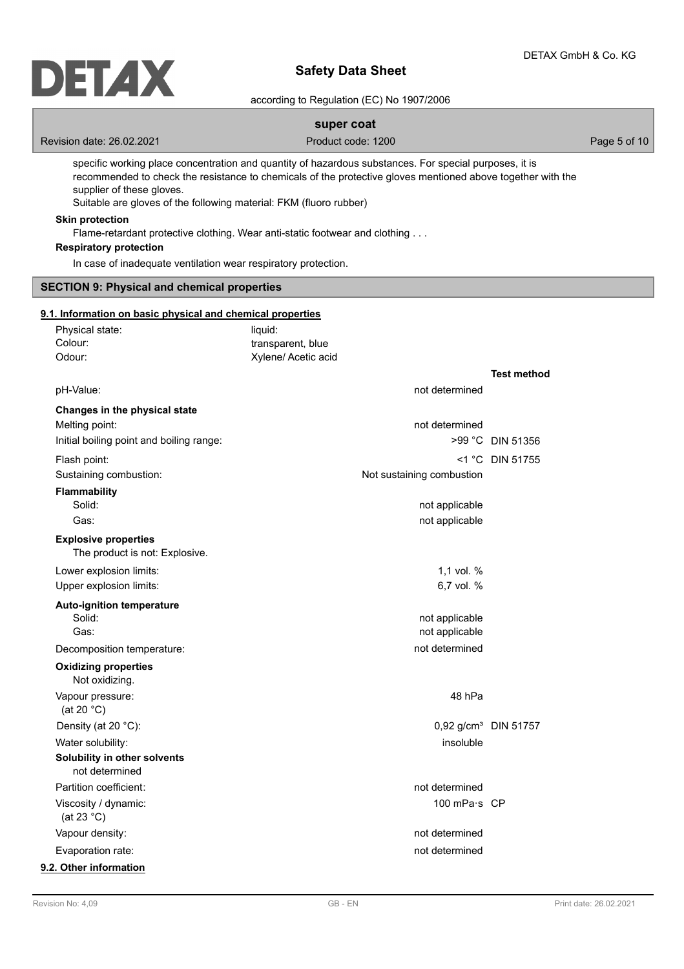

according to Regulation (EC) No 1907/2006

# **super coat**

Revision date: 26.02.2021 **Product code: 1200** Page 5 of 10

specific working place concentration and quantity of hazardous substances. For special purposes, it is recommended to check the resistance to chemicals of the protective gloves mentioned above together with the supplier of these gloves.

Suitable are gloves of the following material: FKM (fluoro rubber)

# **Skin protection**

Flame-retardant protective clothing. Wear anti-static footwear and clothing . . .

# **Respiratory protection**

In case of inadequate ventilation wear respiratory protection.

## **SECTION 9: Physical and chemical properties**

# **9.1. Information on basic physical and chemical properties**

| Physical state:                                               | liquid:                                  |                           |                                  |
|---------------------------------------------------------------|------------------------------------------|---------------------------|----------------------------------|
| Colour:<br>Odour:                                             | transparent, blue<br>Xylene/ Acetic acid |                           |                                  |
|                                                               |                                          |                           |                                  |
|                                                               |                                          |                           | <b>Test method</b>               |
| pH-Value:                                                     |                                          | not determined            |                                  |
| Changes in the physical state                                 |                                          |                           |                                  |
| Melting point:                                                |                                          | not determined            |                                  |
| Initial boiling point and boiling range:                      |                                          |                           | >99 °C DIN 51356                 |
| Flash point:                                                  |                                          |                           | <1 °C DIN 51755                  |
| Sustaining combustion:                                        |                                          | Not sustaining combustion |                                  |
| <b>Flammability</b>                                           |                                          |                           |                                  |
| Solid:                                                        |                                          | not applicable            |                                  |
| Gas:                                                          |                                          | not applicable            |                                  |
| <b>Explosive properties</b><br>The product is not: Explosive. |                                          |                           |                                  |
| Lower explosion limits:                                       |                                          | 1,1 vol. %                |                                  |
| Upper explosion limits:                                       |                                          | 6,7 vol. %                |                                  |
| <b>Auto-ignition temperature</b>                              |                                          |                           |                                  |
| Solid:                                                        |                                          | not applicable            |                                  |
| Gas:                                                          |                                          | not applicable            |                                  |
| Decomposition temperature:                                    |                                          | not determined            |                                  |
| <b>Oxidizing properties</b><br>Not oxidizing.                 |                                          |                           |                                  |
| Vapour pressure:<br>(at 20 $^{\circ}$ C)                      |                                          | 48 hPa                    |                                  |
| Density (at 20 °C):                                           |                                          |                           | 0,92 g/cm <sup>3</sup> DIN 51757 |
| Water solubility:                                             |                                          | insoluble                 |                                  |
| Solubility in other solvents<br>not determined                |                                          |                           |                                  |
| Partition coefficient:                                        |                                          | not determined            |                                  |
| Viscosity / dynamic:<br>(at 23 $^{\circ}$ C)                  |                                          | 100 mPa·s CP              |                                  |
| Vapour density:                                               |                                          | not determined            |                                  |
| Evaporation rate:                                             |                                          | not determined            |                                  |
| 9.2. Other information                                        |                                          |                           |                                  |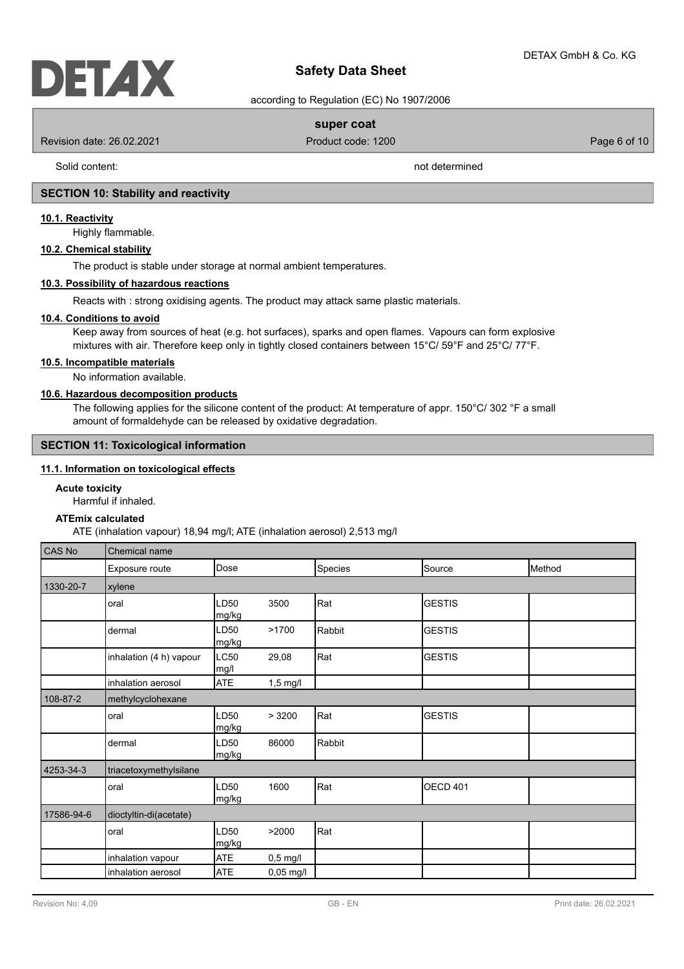according to Regulation (EC) No 1907/2006

# **super coat**

Revision date: 26.02.2021 **Product code: 1200** Product code: 1200 **Page 6 of 10** 

Solid content: not determined

# **SECTION 10: Stability and reactivity**

## **10.1. Reactivity**

Highly flammable.

# **10.2. Chemical stability**

The product is stable under storage at normal ambient temperatures.

# **10.3. Possibility of hazardous reactions**

Reacts with : strong oxidising agents. The product may attack same plastic materials.

## **10.4. Conditions to avoid**

Keep away from sources of heat (e.g. hot surfaces), sparks and open flames. Vapours can form explosive mixtures with air. Therefore keep only in tightly closed containers between 15°C/ 59°F and 25°C/ 77°F.

# **10.5. Incompatible materials**

No information available.

## **10.6. Hazardous decomposition products**

The following applies for the silicone content of the product: At temperature of appr. 150°C/ 302 °F a small amount of formaldehyde can be released by oxidative degradation.

# **SECTION 11: Toxicological information**

## **11.1. Information on toxicological effects**

## **Acute toxicity**

Harmful if inhaled.

# **ATEmix calculated**

ATE (inhalation vapour) 18,94 mg/l; ATE (inhalation aerosol) 2,513 mg/l

| CAS No     | Chemical name           |               |             |         |                 |        |  |
|------------|-------------------------|---------------|-------------|---------|-----------------|--------|--|
|            | Exposure route          | Dose          |             | Species | Source          | Method |  |
| 1330-20-7  | xylene                  |               |             |         |                 |        |  |
|            | oral                    | LD50<br>mg/kg | 3500        | Rat     | <b>GESTIS</b>   |        |  |
|            | dermal                  | LD50<br>mg/kg | >1700       | Rabbit  | <b>GESTIS</b>   |        |  |
|            | inhalation (4 h) vapour | LC50<br>mg/l  | 29,08       | Rat     | <b>GESTIS</b>   |        |  |
|            | inhalation aerosol      | <b>ATE</b>    | $1,5$ mg/l  |         |                 |        |  |
| 108-87-2   | methylcyclohexane       |               |             |         |                 |        |  |
|            | oral                    | LD50<br>mg/kg | > 3200      | Rat     | <b>GESTIS</b>   |        |  |
|            | dermal                  | LD50<br>mg/kg | 86000       | Rabbit  |                 |        |  |
| 4253-34-3  | triacetoxymethylsilane  |               |             |         |                 |        |  |
|            | oral                    | LD50<br>mg/kg | 1600        | Rat     | <b>OECD 401</b> |        |  |
| 17586-94-6 | dioctyltin-di(acetate)  |               |             |         |                 |        |  |
|            | oral                    | LD50<br>mg/kg | >2000       | Rat     |                 |        |  |
|            | inhalation vapour       | <b>ATE</b>    | $0,5$ mg/l  |         |                 |        |  |
|            | inhalation aerosol      | <b>ATE</b>    | $0,05$ mg/l |         |                 |        |  |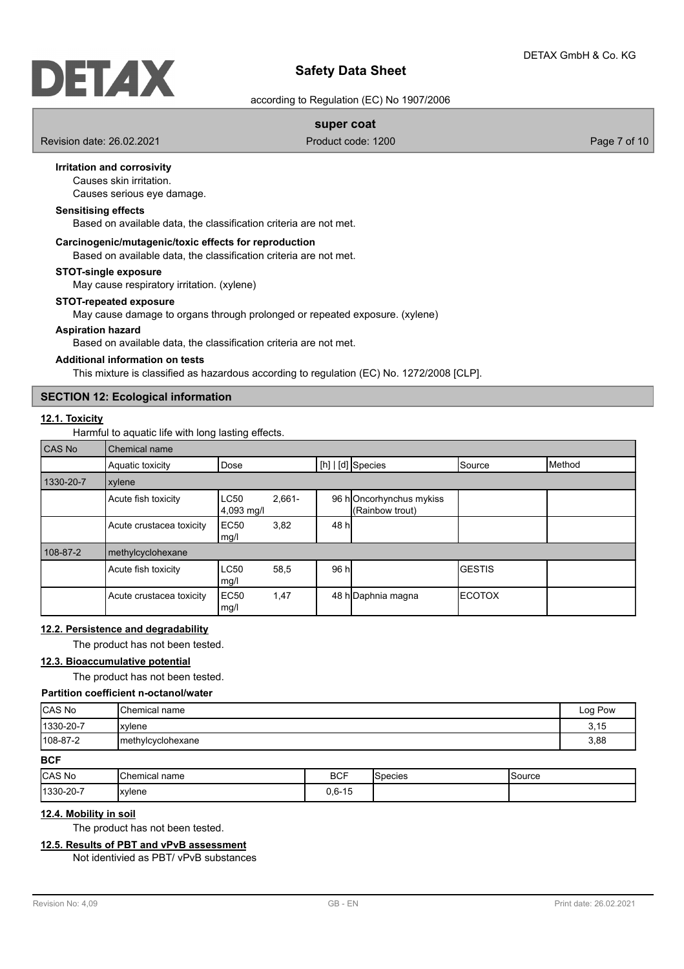# DELAX

# **Safety Data Sheet**

according to Regulation (EC) No 1907/2006

# **super coat**

Revision date: 26.02.2021 **Product code: 1200** Page 7 of 10

# **Irritation and corrosivity**

Causes skin irritation.

Causes serious eye damage.

# **Sensitising effects**

Based on available data, the classification criteria are not met.

## **Carcinogenic/mutagenic/toxic effects for reproduction**

Based on available data, the classification criteria are not met.

## **STOT-single exposure**

May cause respiratory irritation. (xylene)

# **STOT-repeated exposure**

May cause damage to organs through prolonged or repeated exposure. (xylene)

## **Aspiration hazard**

Based on available data, the classification criteria are not met.

## **Additional information on tests**

This mixture is classified as hazardous according to regulation (EC) No. 1272/2008 [CLP].

# **SECTION 12: Ecological information**

## **12.1. Toxicity**

Harmful to aquatic life with long lasting effects.

| CAS No    | Chemical name            |                                                                                     |      |       |                     |               |        |  |
|-----------|--------------------------|-------------------------------------------------------------------------------------|------|-------|---------------------|---------------|--------|--|
|           | Aquatic toxicity         | Dose                                                                                |      |       | $[h]   [d]$ Species | Source        | Method |  |
| 1330-20-7 | xylene                   |                                                                                     |      |       |                     |               |        |  |
|           | Acute fish toxicity      | $2,661-$<br><b>LC50</b><br>96 hOncorhynchus mykiss<br>(Rainbow trout)<br>4,093 mg/l |      |       |                     |               |        |  |
|           | Acute crustacea toxicity | <b>EC50</b><br>mg/l                                                                 | 3,82 | 48 hl |                     |               |        |  |
| 108-87-2  | methylcyclohexane        |                                                                                     |      |       |                     |               |        |  |
|           | Acute fish toxicity      | <b>LC50</b><br>mg/l                                                                 | 58,5 | 96 hl |                     | <b>GESTIS</b> |        |  |
|           | Acute crustacea toxicity | EC <sub>50</sub><br>mg/l                                                            | 1,47 |       | 48 h Daphnia magna  | <b>ECOTOX</b> |        |  |

## **12.2. Persistence and degradability**

The product has not been tested.

## **12.3. Bioaccumulative potential**

The product has not been tested.

## **Partition coefficient n-octanol/water**

| CAS No         | <b>I</b> Chemical name | Log Pow |
|----------------|------------------------|---------|
| 1330-20-7      | <i>xviene</i>          | 3,15    |
| $108 - 87 - 2$ | Imethylcyclohexane     | 3,88    |

**BCF**

| <b>CAS No</b>    | Chemical in<br>name<br>_____ | <b>BCF</b>         | oecies | Source |
|------------------|------------------------------|--------------------|--------|--------|
| $ 1330 - 20 - 7$ | xylene                       | 0 C 15<br>U.O- I J |        |        |

# **12.4. Mobility in soil**

The product has not been tested.

# **12.5. Results of PBT and vPvB assessment**

Not identivied as PBT/ vPvB substances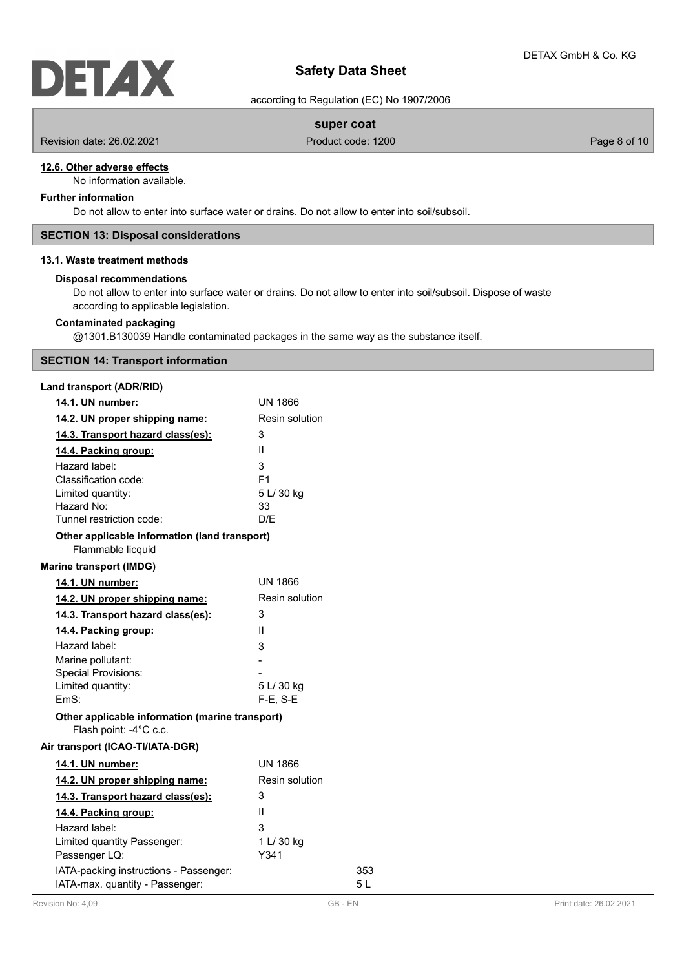according to Regulation (EC) No 1907/2006

# **super coat**

Revision date: 26.02.2021 **Product code: 1200** Product code: 1200 **Page 8 of 10** 

## **12.6. Other adverse effects**

No information available.

# **Further information**

Do not allow to enter into surface water or drains. Do not allow to enter into soil/subsoil.

# **SECTION 13: Disposal considerations**

# **13.1. Waste treatment methods**

## **Disposal recommendations**

Do not allow to enter into surface water or drains. Do not allow to enter into soil/subsoil. Dispose of waste according to applicable legislation.

# **Contaminated packaging**

@1301.B130039 Handle contaminated packages in the same way as the substance itself.

# **SECTION 14: Transport information**

## **Land transport (ADR/RID)**

| 14.1. UN number:                                                          | <b>UN 1866</b> |     |
|---------------------------------------------------------------------------|----------------|-----|
| 14.2. UN proper shipping name:                                            | Resin solution |     |
| 14.3. Transport hazard class(es):                                         | 3              |     |
| 14.4. Packing group:                                                      | Ш              |     |
| Hazard label:                                                             | 3              |     |
| Classification code:                                                      | F <sub>1</sub> |     |
| Limited quantity:                                                         | 5 L/ 30 kg     |     |
| Hazard No:                                                                | 33             |     |
| Tunnel restriction code:                                                  | D/F            |     |
| Other applicable information (land transport)<br>Flammable licquid        |                |     |
| <b>Marine transport (IMDG)</b>                                            |                |     |
| 14.1. UN number:                                                          | <b>UN 1866</b> |     |
| 14.2. UN proper shipping name:                                            | Resin solution |     |
| 14.3. Transport hazard class(es):                                         | 3              |     |
| 14.4. Packing group:                                                      | Ш              |     |
| Hazard label:                                                             | 3              |     |
| Marine pollutant:                                                         |                |     |
| <b>Special Provisions:</b>                                                |                |     |
| Limited quantity:                                                         | 5 L/ 30 kg     |     |
| FmS:                                                                      | $F-E. S-E$     |     |
| Other applicable information (marine transport)<br>Flash point: -4°C c.c. |                |     |
| Air transport (ICAO-TI/IATA-DGR)                                          |                |     |
| 14.1. UN number:                                                          | <b>UN 1866</b> |     |
| 14.2. UN proper shipping name:                                            | Resin solution |     |
| 14.3. Transport hazard class(es):                                         | 3              |     |
| 14.4. Packing group:                                                      | Ш              |     |
| Hazard label:                                                             | 3              |     |
| Limited quantity Passenger:                                               | 1 L/ 30 kg     |     |
| Passenger LQ:                                                             | Y341           |     |
| IATA-packing instructions - Passenger:                                    |                | 353 |
| IATA-max. quantity - Passenger:                                           |                | 5 L |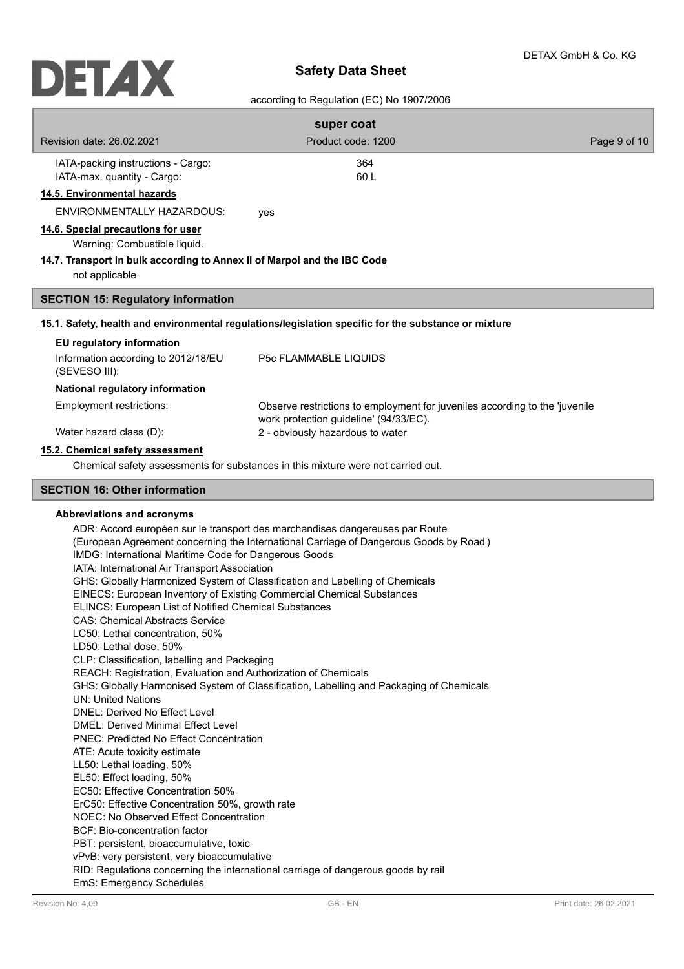# according to Regulation (EC) No 1907/2006

|                                                                                                                                                                                                                                                                                                                                                                                                                                                                                                                                                                                                                                                                                                                                                                                                                                                                                                                                                                                                                                                 | super coat                                                                                                                                                                                                                                                                                                                                                                                                                            |              |
|-------------------------------------------------------------------------------------------------------------------------------------------------------------------------------------------------------------------------------------------------------------------------------------------------------------------------------------------------------------------------------------------------------------------------------------------------------------------------------------------------------------------------------------------------------------------------------------------------------------------------------------------------------------------------------------------------------------------------------------------------------------------------------------------------------------------------------------------------------------------------------------------------------------------------------------------------------------------------------------------------------------------------------------------------|---------------------------------------------------------------------------------------------------------------------------------------------------------------------------------------------------------------------------------------------------------------------------------------------------------------------------------------------------------------------------------------------------------------------------------------|--------------|
| Revision date: 26.02.2021                                                                                                                                                                                                                                                                                                                                                                                                                                                                                                                                                                                                                                                                                                                                                                                                                                                                                                                                                                                                                       | Product code: 1200                                                                                                                                                                                                                                                                                                                                                                                                                    | Page 9 of 10 |
| IATA-packing instructions - Cargo:<br>IATA-max. quantity - Cargo:                                                                                                                                                                                                                                                                                                                                                                                                                                                                                                                                                                                                                                                                                                                                                                                                                                                                                                                                                                               | 364<br>60L                                                                                                                                                                                                                                                                                                                                                                                                                            |              |
| 14.5. Environmental hazards                                                                                                                                                                                                                                                                                                                                                                                                                                                                                                                                                                                                                                                                                                                                                                                                                                                                                                                                                                                                                     |                                                                                                                                                                                                                                                                                                                                                                                                                                       |              |
| ENVIRONMENTALLY HAZARDOUS:                                                                                                                                                                                                                                                                                                                                                                                                                                                                                                                                                                                                                                                                                                                                                                                                                                                                                                                                                                                                                      | yes                                                                                                                                                                                                                                                                                                                                                                                                                                   |              |
| 14.6. Special precautions for user<br>Warning: Combustible liquid.                                                                                                                                                                                                                                                                                                                                                                                                                                                                                                                                                                                                                                                                                                                                                                                                                                                                                                                                                                              |                                                                                                                                                                                                                                                                                                                                                                                                                                       |              |
| 14.7. Transport in bulk according to Annex II of Marpol and the IBC Code<br>not applicable                                                                                                                                                                                                                                                                                                                                                                                                                                                                                                                                                                                                                                                                                                                                                                                                                                                                                                                                                      |                                                                                                                                                                                                                                                                                                                                                                                                                                       |              |
| <b>SECTION 15: Regulatory information</b>                                                                                                                                                                                                                                                                                                                                                                                                                                                                                                                                                                                                                                                                                                                                                                                                                                                                                                                                                                                                       |                                                                                                                                                                                                                                                                                                                                                                                                                                       |              |
|                                                                                                                                                                                                                                                                                                                                                                                                                                                                                                                                                                                                                                                                                                                                                                                                                                                                                                                                                                                                                                                 | 15.1. Safety, health and environmental regulations/legislation specific for the substance or mixture                                                                                                                                                                                                                                                                                                                                  |              |
| EU regulatory information                                                                                                                                                                                                                                                                                                                                                                                                                                                                                                                                                                                                                                                                                                                                                                                                                                                                                                                                                                                                                       |                                                                                                                                                                                                                                                                                                                                                                                                                                       |              |
| Information according to 2012/18/EU<br>(SEVESO III):                                                                                                                                                                                                                                                                                                                                                                                                                                                                                                                                                                                                                                                                                                                                                                                                                                                                                                                                                                                            | <b>P5c FLAMMABLE LIQUIDS</b>                                                                                                                                                                                                                                                                                                                                                                                                          |              |
| National regulatory information                                                                                                                                                                                                                                                                                                                                                                                                                                                                                                                                                                                                                                                                                                                                                                                                                                                                                                                                                                                                                 |                                                                                                                                                                                                                                                                                                                                                                                                                                       |              |
| Employment restrictions:                                                                                                                                                                                                                                                                                                                                                                                                                                                                                                                                                                                                                                                                                                                                                                                                                                                                                                                                                                                                                        | Observe restrictions to employment for juveniles according to the 'juvenile<br>work protection guideline' (94/33/EC).                                                                                                                                                                                                                                                                                                                 |              |
| Water hazard class (D):                                                                                                                                                                                                                                                                                                                                                                                                                                                                                                                                                                                                                                                                                                                                                                                                                                                                                                                                                                                                                         | 2 - obviously hazardous to water                                                                                                                                                                                                                                                                                                                                                                                                      |              |
| 15.2. Chemical safety assessment                                                                                                                                                                                                                                                                                                                                                                                                                                                                                                                                                                                                                                                                                                                                                                                                                                                                                                                                                                                                                |                                                                                                                                                                                                                                                                                                                                                                                                                                       |              |
|                                                                                                                                                                                                                                                                                                                                                                                                                                                                                                                                                                                                                                                                                                                                                                                                                                                                                                                                                                                                                                                 | Chemical safety assessments for substances in this mixture were not carried out.                                                                                                                                                                                                                                                                                                                                                      |              |
| <b>SECTION 16: Other information</b>                                                                                                                                                                                                                                                                                                                                                                                                                                                                                                                                                                                                                                                                                                                                                                                                                                                                                                                                                                                                            |                                                                                                                                                                                                                                                                                                                                                                                                                                       |              |
| Abbreviations and acronyms<br>IMDG: International Maritime Code for Dangerous Goods<br>IATA: International Air Transport Association<br>EINECS: European Inventory of Existing Commercial Chemical Substances<br>ELINCS: European List of Notified Chemical Substances<br><b>CAS: Chemical Abstracts Service</b><br>LC50: Lethal concentration, 50%<br>LD50: Lethal dose, 50%<br>CLP: Classification, labelling and Packaging<br>REACH: Registration, Evaluation and Authorization of Chemicals<br><b>UN: United Nations</b><br>DNEL: Derived No Effect Level<br><b>DMEL: Derived Minimal Effect Level</b><br><b>PNEC: Predicted No Effect Concentration</b><br>ATE: Acute toxicity estimate<br>LL50: Lethal loading, 50%<br>EL50: Effect loading, 50%<br>EC50: Effective Concentration 50%<br>ErC50: Effective Concentration 50%, growth rate<br>NOEC: No Observed Effect Concentration<br>BCF: Bio-concentration factor<br>PBT: persistent, bioaccumulative, toxic<br>vPvB: very persistent, very bioaccumulative<br>EmS: Emergency Schedules | ADR: Accord européen sur le transport des marchandises dangereuses par Route<br>(European Agreement concerning the International Carriage of Dangerous Goods by Road)<br>GHS: Globally Harmonized System of Classification and Labelling of Chemicals<br>GHS: Globally Harmonised System of Classification, Labelling and Packaging of Chemicals<br>RID: Regulations concerning the international carriage of dangerous goods by rail |              |